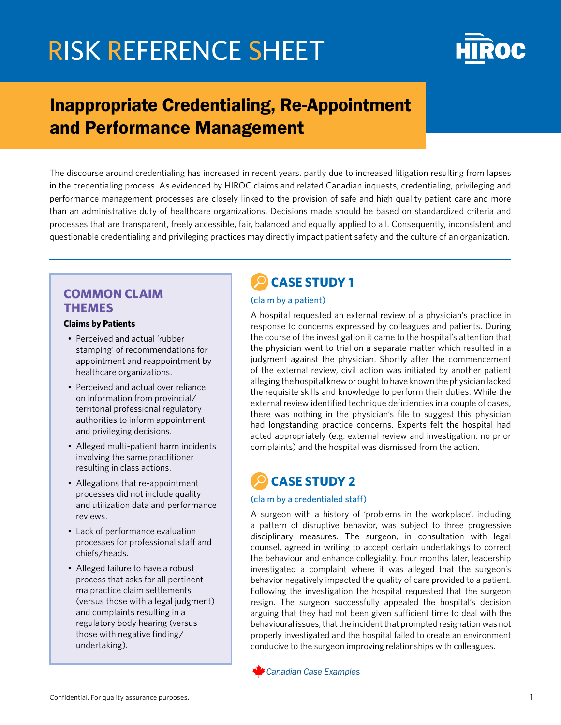

## Inappropriate Credentialing, Re-Appointment and Performance Management

The discourse around credentialing has increased in recent years, partly due to increased litigation resulting from lapses in the credentialing process. As evidenced by HIROC claims and related Canadian inquests, credentialing, privileging and performance management processes are closely linked to the provision of safe and high quality patient care and more than an administrative duty of healthcare organizations. Decisions made should be based on standardized criteria and processes that are transparent, freely accessible, fair, balanced and equally applied to all. Consequently, inconsistent and questionable credentialing and privileging practices may directly impact patient safety and the culture of an organization.

### **COMMON CLAIM THEMES**

### **Claims by Patients**

- Perceived and actual 'rubber stamping' of recommendations for appointment and reappointment by healthcare organizations.
- Perceived and actual over reliance on information from provincial/ territorial professional regulatory authorities to inform appointment and privileging decisions.
- Alleged multi-patient harm incidents involving the same practitioner resulting in class actions.
- Allegations that re-appointment processes did not include quality and utilization data and performance reviews.
- Lack of performance evaluation processes for professional staff and chiefs/heads.
- Alleged failure to have a robust process that asks for all pertinent malpractice claim settlements (versus those with a legal judgment) and complaints resulting in a regulatory body hearing (versus those with negative finding/ undertaking).

## **CASE STUDY 1**

#### (claim by a patient)

A hospital requested an external review of a physician's practice in response to concerns expressed by colleagues and patients. During the course of the investigation it came to the hospital's attention that the physician went to trial on a separate matter which resulted in a judgment against the physician. Shortly after the commencement of the external review, civil action was initiated by another patient alleging the hospital knew or ought to have known the physician lacked the requisite skills and knowledge to perform their duties. While the external review identified technique deficiencies in a couple of cases, there was nothing in the physician's file to suggest this physician had longstanding practice concerns. Experts felt the hospital had acted appropriately (e.g. external review and investigation, no prior complaints) and the hospital was dismissed from the action.

### **CASE STUDY 2**

#### (claim by a credentialed staff)

A surgeon with a history of 'problems in the workplace', including a pattern of disruptive behavior, was subject to three progressive disciplinary measures. The surgeon, in consultation with legal counsel, agreed in writing to accept certain undertakings to correct the behaviour and enhance collegiality. Four months later, leadership investigated a complaint where it was alleged that the surgeon's behavior negatively impacted the quality of care provided to a patient. Following the investigation the hospital requested that the surgeon resign. The surgeon successfully appealed the hospital's decision arguing that they had not been given sufficient time to deal with the behavioural issues, that the incident that prompted resignation was not properly investigated and the hospital failed to create an environment conducive to the surgeon improving relationships with colleagues.

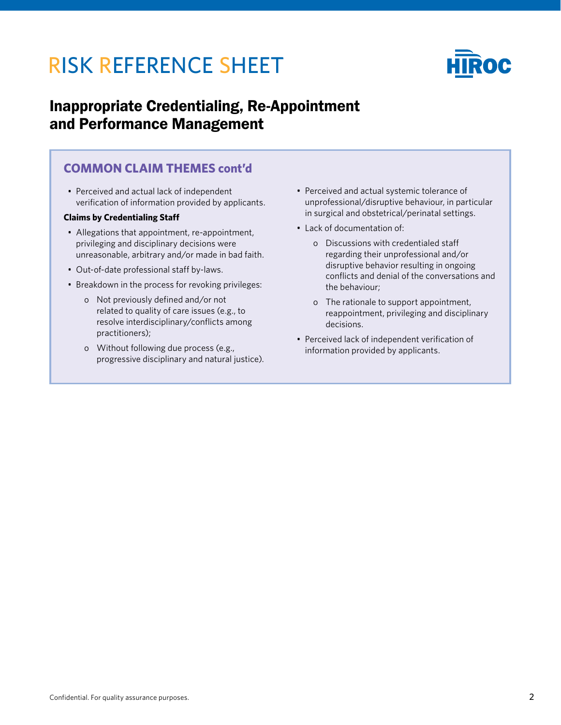

## Inappropriate Credentialing, Re-Appointment and Performance Management

### **COMMON CLAIM THEMES cont'd**

• Perceived and actual lack of independent verification of information provided by applicants.

### **Claims by Credentialing Staff**

- Allegations that appointment, re-appointment, privileging and disciplinary decisions were unreasonable, arbitrary and/or made in bad faith.
- Out-of-date professional staff by-laws.
- Breakdown in the process for revoking privileges:
	- o Not previously defined and/or not related to quality of care issues (e.g., to resolve interdisciplinary/conflicts among practitioners);
	- o Without following due process (e.g., progressive disciplinary and natural justice).
- Perceived and actual systemic tolerance of unprofessional/disruptive behaviour, in particular in surgical and obstetrical/perinatal settings.
- Lack of documentation of:
	- o Discussions with credentialed staff regarding their unprofessional and/or disruptive behavior resulting in ongoing conflicts and denial of the conversations and the behaviour;
	- o The rationale to support appointment, reappointment, privileging and disciplinary decisions.
- Perceived lack of independent verification of information provided by applicants.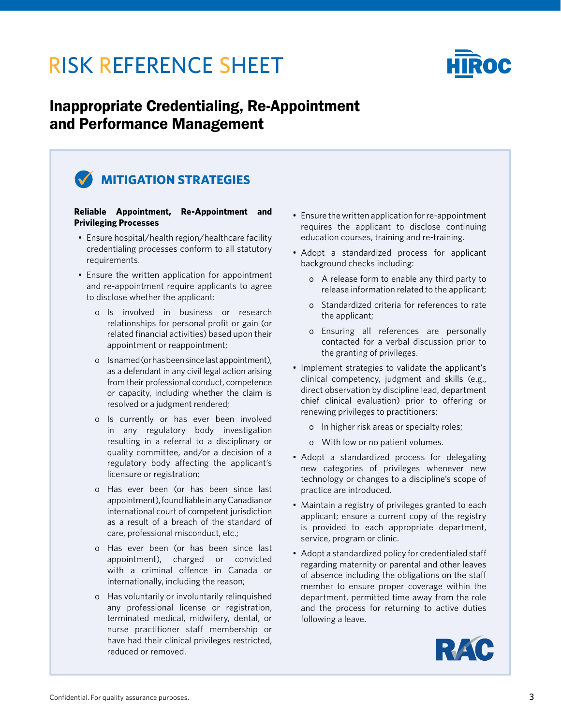

## Inappropriate Credentialing, Re-Appointment and Performance Management

## **MITIGATION STRATEGIES**

#### **Reliable Appointment, Re-Appointment and Privileging Processes**

- Ensure hospital/health region/healthcare facility credentialing processes conform to all statutory requirements.
- Ensure the written application for appointment and re-appointment require applicants to agree to disclose whether the applicant:
	- o Is involved in business or research relationships for personal profit or gain (or related financial activities) based upon their appointment or reappointment;
	- o Is named (or has been since last appointment), as a defendant in any civil legal action arising from their professional conduct, competence or capacity, including whether the claim is resolved or a judgment rendered;
	- o Is currently or has ever been involved in any regulatory body investigation resulting in a referral to a disciplinary or quality committee, and/or a decision of a regulatory body affecting the applicant's licensure or registration;
	- o Has ever been (or has been since last appointment), found liable in any Canadian or international court of competent jurisdiction as a result of a breach of the standard of care, professional misconduct, etc.;
	- o Has ever been (or has been since last appointment), charged or convicted with a criminal offence in Canada or internationally, including the reason;
	- o Has voluntarily or involuntarily relinquished any professional license or registration, terminated medical, midwifery, dental, or nurse practitioner staff membership or have had their clinical privileges restricted, reduced or removed.
- Ensure the written application for re-appointment requires the applicant to disclose continuing education courses, training and re-training.
- Adopt a standardized process for applicant background checks including:
	- o A release form to enable any third party to release information related to the applicant;
	- o Standardized criteria for references to rate the applicant;
	- o Ensuring all references are personally contacted for a verbal discussion prior to the granting of privileges.
- Implement strategies to validate the applicant's clinical competency, judgment and skills (e.g., direct observation by discipline lead, department chief clinical evaluation) prior to offering or renewing privileges to practitioners:
	- o In higher risk areas or specialty roles;
	- o With low or no patient volumes.
- Adopt a standardized process for delegating new categories of privileges whenever new technology or changes to a discipline's scope of practice are introduced.
- Maintain a registry of privileges granted to each applicant; ensure a current copy of the registry is provided to each appropriate department, service, program or clinic.
- Adopt a standardized policy for credentialed staff regarding maternity or parental and other leaves of absence including the obligations on the staff member to ensure proper coverage within the department, permitted time away from the role and the process for returning to active duties following a leave.

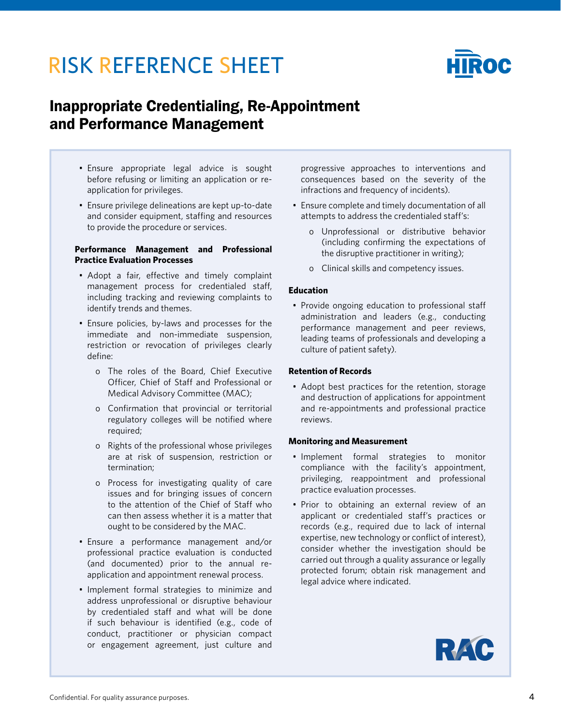

## Inappropriate Credentialing, Re-Appointment and Performance Management

- Ensure appropriate legal advice is sought before refusing or limiting an application or reapplication for privileges.
- Ensure privilege delineations are kept up-to-date and consider equipment, staffing and resources to provide the procedure or services.

#### **Performance Management and Professional Practice Evaluation Processes**

- Adopt a fair, effective and timely complaint management process for credentialed staff, including tracking and reviewing complaints to identify trends and themes.
- Ensure policies, by-laws and processes for the immediate and non-immediate suspension, restriction or revocation of privileges clearly define:
	- o The roles of the Board, Chief Executive Officer, Chief of Staff and Professional or Medical Advisory Committee (MAC);
	- o Confirmation that provincial or territorial regulatory colleges will be notified where required;
	- o Rights of the professional whose privileges are at risk of suspension, restriction or termination;
	- o Process for investigating quality of care issues and for bringing issues of concern to the attention of the Chief of Staff who can then assess whether it is a matter that ought to be considered by the MAC.
- Ensure a performance management and/or professional practice evaluation is conducted (and documented) prior to the annual reapplication and appointment renewal process.
- Implement formal strategies to minimize and address unprofessional or disruptive behaviour by credentialed staff and what will be done if such behaviour is identified (e.g., code of conduct, practitioner or physician compact or engagement agreement, just culture and

progressive approaches to interventions and consequences based on the severity of the infractions and frequency of incidents).

- Ensure complete and timely documentation of all attempts to address the credentialed staff's:
	- o Unprofessional or distributive behavior (including confirming the expectations of the disruptive practitioner in writing);
	- o Clinical skills and competency issues.

#### **Education**

• Provide ongoing education to professional staff administration and leaders (e.g., conducting performance management and peer reviews, leading teams of professionals and developing a culture of patient safety).

#### **Retention of Records**

• Adopt best practices for the retention, storage and destruction of applications for appointment and re-appointments and professional practice reviews.

#### **Monitoring and Measurement**

- Implement formal strategies to monitor compliance with the facility's appointment, privileging, reappointment and professional practice evaluation processes.
- Prior to obtaining an external review of an applicant or credentialed staff's practices or records (e.g., required due to lack of internal expertise, new technology or conflict of interest), consider whether the investigation should be carried out through a quality assurance or legally protected forum; obtain risk management and legal advice where indicated.